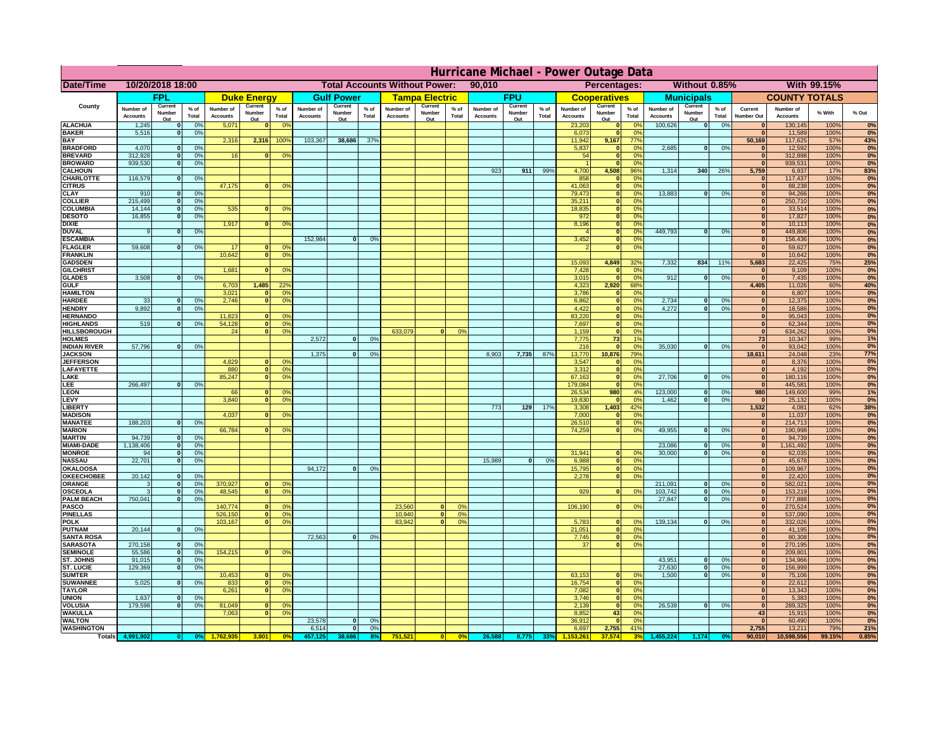|                                       | Hurricane Michael - Power Outage Data |                          |                 |                              |                                                |                                        |                              |                   |                |                              |                                              |                 |                       |                   |                 |                              |                     |                                  |                              |                          |                 |                              |                              |              |           |
|---------------------------------------|---------------------------------------|--------------------------|-----------------|------------------------------|------------------------------------------------|----------------------------------------|------------------------------|-------------------|----------------|------------------------------|----------------------------------------------|-----------------|-----------------------|-------------------|-----------------|------------------------------|---------------------|----------------------------------|------------------------------|--------------------------|-----------------|------------------------------|------------------------------|--------------|-----------|
| Date/Time                             | 10/20/2018 18:00                      |                          |                 |                              | <b>Total Accounts Without Power:</b><br>90,010 |                                        |                              |                   |                |                              | Without 0.85%<br>With 99.15%<br>Percentages: |                 |                       |                   |                 |                              |                     |                                  |                              |                          |                 |                              |                              |              |           |
|                                       |                                       | FPL                      |                 |                              | <b>Duke Energy</b>                             |                                        |                              | <b>Gulf Power</b> |                |                              | <b>Tampa Electric</b>                        |                 |                       | <b>FPU</b>        |                 |                              | <b>Cooperatives</b> |                                  |                              | <b>Municipals</b>        |                 |                              | <b>COUNTY TOTALS</b>         |              |           |
| County                                | Number of<br><b>Accounts</b>          | Current<br>Number        | $%$ of<br>Total | Number of<br><b>Accounts</b> | Current<br>Number                              | $%$ of<br>Total                        | Number of<br><b>Accounts</b> | Current<br>Number | % of<br>Total  | Number of<br><b>Accounts</b> | Current<br>Number                            | $%$ of<br>Total | Number of<br>Accounts | Current<br>Number | $%$ of<br>Total | Number of<br><b>Accounts</b> | Current<br>Number   | $%$ of<br>Total                  | Number of<br><b>Accounts</b> | Current<br>Number        | $%$ of<br>Total | Current<br><b>Number Out</b> | Number of<br><b>Accounts</b> | % With       | % Out     |
| <b>ALACHUA</b>                        | 1,245                                 | Out<br>$\mathbf{0}$      | 0%              | 5,071                        | Out<br>$\mathbf{0}$                            | 0 <sup>9</sup>                         |                              | Out               |                |                              | Out                                          |                 |                       | Out               |                 | 23,203                       | Out<br> 0           | 0 <sup>9</sup>                   | 100,626                      | Out<br> 0                | 0%              | $\bf{0}$                     | 130,145                      | 100%         | 0%        |
| <b>BAKER</b>                          | 5,516                                 | 0                        | 0%              |                              |                                                |                                        |                              |                   |                |                              |                                              |                 |                       |                   |                 | 6,073                        | 0                   | 0%                               |                              |                          |                 | $\mathbf{0}$                 | 11,589                       | 100%         | 0%        |
| <b>BAY</b><br><b>BRADFORD</b>         | 4,070                                 | $\mathbf{0}$             | 0%              | 2,316                        | 2,316                                          | 100%                                   | 103,367                      | 38,686            | 37%            |                              |                                              |                 |                       |                   |                 | 11,942<br>5,837              | 9,167<br> 0         | 77%<br>0%                        | 2,685                        | 0                        | 0%              | 50,169                       | 117,625<br>12,592            | 57%<br>100%  | 43%<br>0% |
| <b>BREVARD</b>                        | 312,828                               | 0                        | 0%              | 16                           | $\mathbf{0}$                                   | 0 <sup>o</sup>                         |                              |                   |                |                              |                                              |                 |                       |                   |                 | 54                           | 0                   | 0%                               |                              |                          |                 | $\mathbf{0}$                 | 312,898                      | 100%         | 0%        |
| <b>BROWARD</b>                        | 939.530                               | 0                        | 0%              |                              |                                                |                                        |                              |                   |                |                              |                                              |                 |                       |                   |                 |                              | 0                   | 0%                               |                              |                          |                 | $\bf{0}$                     | 939,531                      | 100%         | 0%        |
| <b>CALHOUN</b>                        |                                       |                          |                 |                              |                                                |                                        |                              |                   |                |                              |                                              |                 | 923                   | 911               | 99%             | 4,700                        | 4,508               | 96%                              | 1,314                        | 340                      | 26%             | 5,759                        | 6,937                        | 17%          | 83%       |
| CHARLOTTE<br><b>CITRUS</b>            | 116,579                               | 0                        | 0%              | 47,175                       | $\mathbf{0}$                                   | 0 <sup>o</sup>                         |                              |                   |                |                              |                                              |                 |                       |                   |                 | 858<br>41,063                | 0 <br> 0            | 0 <sup>9</sup><br>0 <sup>9</sup> |                              |                          |                 | $\bf{0}$                     | 117,437<br>88,238            | 100%<br>100% | 0%<br>0%  |
| <b>CLAY</b>                           | 910                                   | $\mathbf{0}$             | 0%              |                              |                                                |                                        |                              |                   |                |                              |                                              |                 |                       |                   |                 | 79,473                       | 0                   | 0 <sup>9</sup>                   | 13,883                       | $\mathbf{0}$             | 0%              | $\bf{0}$                     | 94,266                       | 100%         | 0%        |
| <b>COLLIER</b>                        | 215,499                               | $\mathbf{0}$             | 0 <sup>9</sup>  |                              |                                                |                                        |                              |                   |                |                              |                                              |                 |                       |                   |                 | 35,211                       | 0                   | 0%                               |                              |                          |                 | $\bf{0}$                     | 250,710                      | 100%         | 0%        |
| <b>COLUMBIA</b>                       | 14,144                                | $\mathbf 0$              | 0%              | 535                          | $\mathbf{0}$                                   | 0 <sup>9</sup>                         |                              |                   |                |                              |                                              |                 |                       |                   |                 | 18,835                       | 0                   | 0%                               |                              |                          |                 | $\bf{0}$                     | 33,514                       | 100%         | 0%        |
| <b>DESOTO</b><br><b>DIXIE</b>         | 16,855                                | $\mathbf{0}$             | 0%              | 1,917                        | $\Omega$                                       | 0 <sup>9</sup>                         |                              |                   |                |                              |                                              |                 |                       |                   |                 | 972<br>8,196                 | 0 <br> 0            | 0%<br>0%                         |                              |                          |                 | $\bf{0}$<br>$\Omega$         | 17,827<br>10,113             | 100%<br>100% | 0%<br>0%  |
| <b>DUVAL</b>                          | 9                                     | $\Omega$                 | 0%              |                              |                                                |                                        |                              |                   |                |                              |                                              |                 |                       |                   |                 |                              | 0                   | 0%                               | 449.793                      | $\overline{0}$           | 0%              | $\Omega$                     | 449,806                      | 100%         | 0%        |
| <b>ESCAMBIA</b>                       |                                       |                          |                 |                              |                                                |                                        | 152,984                      | $\mathbf{0}$      | 0 <sup>o</sup> |                              |                                              |                 |                       |                   |                 | 3,452                        | 0                   | 0%                               |                              |                          |                 | $\Omega$                     | 156,436                      | 100%         | 0%        |
| <b>FLAGLER</b>                        | 59,608                                | $\overline{0}$           | 0%              | 17                           | $\bf{0}$                                       | 0 <sup>o</sup>                         |                              |                   |                |                              |                                              |                 |                       |                   |                 |                              | 0                   | 0%                               |                              |                          |                 | $\mathbf{0}$                 | 59,627                       | 100%         | 0%        |
| <b>FRANKLIN</b>                       |                                       |                          |                 | 10,642                       | 0                                              | 0 <sup>9</sup>                         |                              |                   |                |                              |                                              |                 |                       |                   |                 |                              |                     |                                  |                              |                          |                 | $\Omega$                     | 10,642                       | 100%         | 0%        |
| <b>GADSDEN</b><br><b>GILCHRIST</b>    |                                       |                          |                 | 1,681                        | $\mathbf{0}$                                   | 0 <sup>9</sup>                         |                              |                   |                |                              |                                              |                 |                       |                   |                 | 15,093<br>7,428              | 4,849<br> 0         | 32%<br>0%                        | 7,332                        | 834                      | 11%             | 5,683<br>$\mathbf{0}$        | 22,425<br>9,109              | 75%<br>100%  | 25%<br>0% |
| <b>GLADES</b>                         | 3,508                                 | 0                        | 0%              |                              |                                                |                                        |                              |                   |                |                              |                                              |                 |                       |                   |                 | 3,015                        | 0                   | 0%                               | 912                          | $\overline{0}$           | 0%              | 0                            | 7,435                        | 100%         | 0%        |
| <b>GULF</b>                           |                                       |                          |                 | 6,703                        | 1,485                                          | 22 <sup>o</sup>                        |                              |                   |                |                              |                                              |                 |                       |                   |                 | 4,323                        | 2,920               | 68%                              |                              |                          |                 | 4,405                        | 11,026                       | 60%          | 40%       |
| <b>HAMILTON</b>                       |                                       |                          |                 | 3,021                        | $\Omega$                                       | 0 <sup>9</sup>                         |                              |                   |                |                              |                                              |                 |                       |                   |                 | 3,786                        | 0                   | 0%                               |                              |                          |                 | $\Omega$                     | 6,807                        | 100%         | 0%        |
| <b>HARDEE</b><br><b>HENDRY</b>        | 33<br>9,892                           | $\mathbf{0}$<br>$\Omega$ | 0%              | 2.746                        | $\overline{0}$                                 | 0 <sup>9</sup>                         |                              |                   |                |                              |                                              |                 |                       |                   |                 | 6.862                        | $\overline{0}$      | 0%<br>0%                         | 2.734<br>4,272               | $\mathbf{0}$<br>$\Omega$ | 0%<br>0%        | 0 <br> 0                     | 12,375                       | 100%         | 0%        |
| <b>HERNANDO</b>                       |                                       |                          | 0%              | 11,823                       | $\mathbf{0}$                                   | 0 <sup>9</sup>                         |                              |                   |                |                              |                                              |                 |                       |                   |                 | 4,422<br>83,220              | 0 <br> 0            | 0%                               |                              |                          |                 | 0                            | 18,586<br>95,043             | 100%<br>100% | 0%<br>0%  |
| <b>HIGHLANDS</b>                      | 519                                   | $\mathbf{0}$             | 0 <sup>9</sup>  | 54,128                       | 0                                              | 0 <sup>9</sup>                         |                              |                   |                |                              |                                              |                 |                       |                   |                 | 7,697                        | 0                   | 0%                               |                              |                          |                 | 0                            | 62,344                       | 100%         | 0%        |
| <b>HILLSBOROUGH</b>                   |                                       |                          |                 | 24                           | 0                                              | 0 <sup>9</sup>                         |                              |                   |                | 633,079                      |                                              | 0%              |                       |                   |                 | 1,159                        | 0                   | 0%                               |                              |                          |                 | 0                            | 634,262                      | 100%         | 0%        |
| <b>HOLMES</b>                         |                                       |                          |                 |                              |                                                |                                        | 2.572                        | $\mathbf{0}$      | 0%             |                              |                                              |                 |                       |                   |                 | 7.775                        | 73                  | 1%                               |                              |                          |                 | 73                           | 10,347                       | 99%          | 1%        |
| <b>INDIAN RIVER</b><br><b>JACKSON</b> | 57,796                                | $\mathbf{0}$             | 0%              |                              |                                                |                                        | 1.375                        | $\mathbf{0}$      | 0 <sup>9</sup> |                              |                                              |                 | 8.903                 | 7,735             | 87%             | 216<br>13,770                | 0 <br>10.876        | 0%<br>79%                        | 35,030                       | $\mathbf{0}$             | 0%              | $\mathbf{0}$<br>18.611       | 93,042<br>24,048             | 100%<br>23%  | 0%<br>77% |
| <b>JEFFERSON</b>                      |                                       |                          |                 | 4.829                        | n l                                            | 0 <sup>9</sup>                         |                              |                   |                |                              |                                              |                 |                       |                   |                 | 3.547                        | 0                   | 0%                               |                              |                          |                 | 0                            | 8.376                        | 100%         | 0%        |
| LAFAYETTE                             |                                       |                          |                 | 880                          | 0                                              | 0 <sup>9</sup>                         |                              |                   |                |                              |                                              |                 |                       |                   |                 | 3.312                        | 0                   | 0%                               |                              |                          |                 | 0                            | 4.192                        | 100%         | 0%        |
| LAKE                                  |                                       |                          |                 | 85,247                       | $\mathbf{0}$                                   | 0 <sup>9</sup>                         |                              |                   |                |                              |                                              |                 |                       |                   |                 | 67,163                       | 0                   | 0%                               | 27,706                       | $\Omega$                 | 0%              | 0                            | 180,116                      | 100%         | 0%        |
| EE.                                   | 266,497                               | 0                        | 0%              | 66                           | $\mathbf{0}$                                   |                                        |                              |                   |                |                              |                                              |                 |                       |                   |                 | 179,084                      | 0                   | 0%<br>4%                         | 123,000                      | $\mathbf{0}$             |                 | 0                            | 445,581                      | 100%         | 0%        |
| <b>LEON</b><br>LEVY                   |                                       |                          |                 | 3,840                        | $\Omega$                                       | 0 <sup>o</sup><br>0 <sup>9</sup>       |                              |                   |                |                              |                                              |                 |                       |                   |                 | 26,534<br>19,830             | 980<br> 0           | 0%                               | 1,462                        | -ol                      | 0%<br>0%        | 980<br> 0                    | 149,600<br>25,132            | 99%<br>100%  | 1%<br>0%  |
| LIBERTY                               |                                       |                          |                 |                              |                                                |                                        |                              |                   |                |                              |                                              |                 | 773                   | 129               | 17%             | 3,308                        | 1,403               | 42%                              |                              |                          |                 | 1,532                        | 4,081                        | 62%          | 38%       |
| <b>MADISON</b>                        |                                       |                          |                 | 4,037                        | $\Omega$                                       | 0 <sup>9</sup>                         |                              |                   |                |                              |                                              |                 |                       |                   |                 | 7,000                        | 0                   | 0%                               |                              |                          |                 | 0                            | 11,037                       | 100%         | 0%        |
| <b>MANATEE</b>                        | 188,203                               | 0                        | 0%              |                              |                                                |                                        |                              |                   |                |                              |                                              |                 |                       |                   |                 | 26,510                       | 0                   | 0%                               |                              |                          |                 | 0                            | 214,713                      | 100%         | 0%        |
| <b>MARION</b><br><b>MARTIN</b>        | 94,739                                | 0                        | 0%              | 66,784                       | 0                                              | 0 <sup>9</sup>                         |                              |                   |                |                              |                                              |                 |                       |                   |                 | 74,259                       |                     | 0 <br>0%                         | 49,955                       | nl                       | 0%              | 0 <br> 0                     | 190,998<br>94,739            | 100%<br>100% | 0%<br>0%  |
| <b>MIAMI-DADE</b>                     | 1,138,406                             | 0                        | 0%              |                              |                                                |                                        |                              |                   |                |                              |                                              |                 |                       |                   |                 |                              |                     |                                  | 23,086                       | $\mathbf{0}$             | 0%              | 0                            | 1,161,492                    | 100%         | 0%        |
| <b>MONROE</b>                         | 94                                    | 0                        | 0%              |                              |                                                |                                        |                              |                   |                |                              |                                              |                 |                       |                   |                 | 31,941                       | $\overline{0}$      | 0 <sup>9</sup>                   | 30,000                       | 0                        | 0%              | 0                            | 62,035                       | 100%         | 0%        |
| <b>NASSAU</b>                         | 22,701                                | 0                        | 0%              |                              |                                                |                                        |                              |                   |                |                              |                                              |                 | 15,989                | 0                 | 0%              | 6,988                        |                     | 0 <br>0%                         |                              |                          |                 | 0                            | 45,678                       | 100%         | 0%        |
| <b>OKALOOSA</b>                       |                                       |                          |                 |                              |                                                |                                        | 94,172                       | $\mathbf{0}$      | 0%             |                              |                                              |                 |                       |                   |                 | 15,795                       |                     | 0 <br>0%<br>0%                   |                              |                          |                 | 0                            | 109,967                      | 100%         | 0%<br>0%  |
| <b>OKEECHOBEE</b><br>ORANGE           | 20,142<br>3                           | 0 <br> 0                 | 0%<br>0%        | 370,927                      |                                                | 0 <br>0 <sup>o</sup>                   |                              |                   |                |                              |                                              |                 |                       |                   |                 | 2,278                        |                     | 0                                | 211,091                      | $\overline{\mathbf{0}}$  | 0%              | 0 <br> 0                     | 22,420<br>582,021            | 100%<br>100% | 0%        |
| <b>OSCEOLA</b>                        | 3                                     | 0                        | 0%              | 48,545                       |                                                | 0 <sup>9</sup><br> 0                   |                              |                   |                |                              |                                              |                 |                       |                   |                 | 929                          |                     | 0 <br>0%                         | 103,742                      | 0                        | 0%              | 0                            | 153,219                      | 100%         | 0%        |
| <b>PALM BEACH</b>                     | 750,041                               | 0                        | 0%              |                              |                                                |                                        |                              |                   |                |                              |                                              |                 |                       |                   |                 |                              |                     |                                  | 27,847                       | $\overline{\mathbf{0}}$  | 0%              | 0                            | 777,888                      | 100%         | 0%        |
| <b>PASCO</b>                          |                                       |                          |                 | 140,774                      | $\Omega$                                       | $^{\circ}$                             |                              |                   |                | 23,560                       | $\Omega$                                     | $^{\circ}$      |                       |                   |                 | 106,190                      |                     | 0 <br>0%                         |                              |                          |                 | 0                            | 270,524                      | 100%         | 0%        |
| <b>PINELLAS</b><br><b>POLK</b>        |                                       |                          |                 | 526,150<br>103,167           | 0                                              | 0 <sup>9</sup><br>0 <sup>9</sup><br> 0 |                              |                   |                | 10,940<br>83,942             | 0 <br>$\mathbf{a}$                           | 0%<br>0%        |                       |                   |                 | 5,783                        |                     | 0 <br>$\Omega$                   | 139,134                      | 0                        | 0%              | $\Omega$<br> 0               | 537,090<br>332,026           | 100%<br>100% | 0%<br>0%  |
| <b>PUTNAM</b>                         | 20,144                                | 0                        | 0%              |                              |                                                |                                        |                              |                   |                |                              |                                              |                 |                       |                   |                 | 21,051                       | $\ddot{\text{o}}$   | 0%                               |                              |                          |                 | $\bf{0}$                     | 41,195                       | 100%         | 0%        |
| <b>SANTA ROSA</b>                     |                                       |                          |                 |                              |                                                |                                        | 72,563                       | 0                 | 0%             |                              |                                              |                 |                       |                   |                 | 7,745                        |                     | 0 <br>0%                         |                              |                          |                 | $\mathbf{0}$                 | 80,308                       | 100%         | 0%        |
| <b>SARASOTA</b>                       | 270,158                               | 0                        | 0%              |                              |                                                |                                        |                              |                   |                |                              |                                              |                 |                       |                   |                 | 37                           |                     | 0 <br>0%                         |                              |                          |                 | 0                            | 270,195                      | 100%         | 0%        |
| <b>SEMINOLE</b><br><b>ST. JOHNS</b>   | 55,586<br>91,015                      | 0 <br> 0                 | 0%<br>0%        | 154,215                      |                                                | $\mathbf{0}$<br>0 <sup>9</sup>         |                              |                   |                |                              |                                              |                 |                       |                   |                 |                              |                     |                                  | 43,951                       | -ol                      | 0%              | 0 <br> 0                     | 209,801<br>134,966           | 100%<br>100% | 0%<br>0%  |
| <b>ST. LUCIE</b>                      | 129.369                               | $\mathbf{0}$             | 0%              |                              |                                                |                                        |                              |                   |                |                              |                                              |                 |                       |                   |                 |                              |                     |                                  | 27.630                       | - O I                    | 0%              | 0                            | 156,999                      | 100%         | 0%        |
| <b>SUMTER</b>                         |                                       |                          |                 | 10,453                       | $\overline{0}$                                 | 0 <sup>9</sup>                         |                              |                   |                |                              |                                              |                 |                       |                   |                 | 63,153                       | 0                   | 0%                               | 1.500                        | 0                        | 0%              | 0                            | 75,106                       | 100%         | 0%        |
| <b>SUWANNEE</b>                       | 5,025                                 | 0                        | 0%              | 833                          | 0                                              | 0 <sup>o</sup>                         |                              |                   |                |                              |                                              |                 |                       |                   |                 | 16,754                       | 0                   | 0%                               |                              |                          |                 | $\mathbf{0}$                 | 22,612                       | 100%         | 0%        |
| <b>TAYLOR</b>                         |                                       |                          |                 | 6,261                        | 0                                              | 0 <sup>9</sup>                         |                              |                   |                |                              |                                              |                 |                       |                   |                 | 7,082                        | 0                   | 0%                               |                              |                          |                 | $\bf{0}$                     | 13,343                       | 100%         | 0%        |
| <b>UNION</b><br><b>VOLUSIA</b>        | 1,637<br>179,598                      | $\mathbf{0}$<br>0        | 0%<br>0%        | 81,049                       | $\mathbf{0}$                                   | $\mathbf{0}$                           |                              |                   |                |                              |                                              |                 |                       |                   |                 | 3,746<br>2,139               | 0 <br> 0            | 0%<br>0%                         | 26,539                       | 0                        | 0%              | $\bf{0}$<br>$\mathbf{0}$     | 5,383<br>289,325             | 100%<br>100% | 0%<br>0%  |
| <b>WAKULLA</b>                        |                                       |                          |                 | 7,063                        | $\mathbf{0}$                                   | 0 <sup>9</sup>                         |                              |                   |                |                              |                                              |                 |                       |                   |                 | 8,852                        | 43                  | 0%                               |                              |                          |                 | 43                           | 15,915                       | 100%         | 0%        |
| <b>WALTON</b>                         |                                       |                          |                 |                              |                                                |                                        | 23,578                       | $\mathbf{0}$      | 0%             |                              |                                              |                 |                       |                   |                 | 36,912                       | 0                   | 0%                               |                              |                          |                 | $\mathbf{0}$                 | 60,490                       | 100%         | 0%        |
| <b>WASHINGTON</b>                     |                                       |                          |                 |                              |                                                |                                        | 6,514                        | 0                 | 0%             |                              |                                              |                 |                       |                   |                 | 6,697                        | 2,755               | 41%                              |                              |                          |                 | 2,755                        | 13,211                       | 79%          | 21%       |
| <b>Totals</b>                         |                                       |                          |                 |                              | 3,801                                          | 0 <sup>6</sup>                         |                              |                   |                | 751,521                      | 0                                            | 0%              | 26,588                | 8,775             | 33%             |                              | 37,574              | 3 <sup>0</sup>                   |                              | 1,174                    |                 | 90,010                       | 10,598,556                   | 99.15%       | 0.85%     |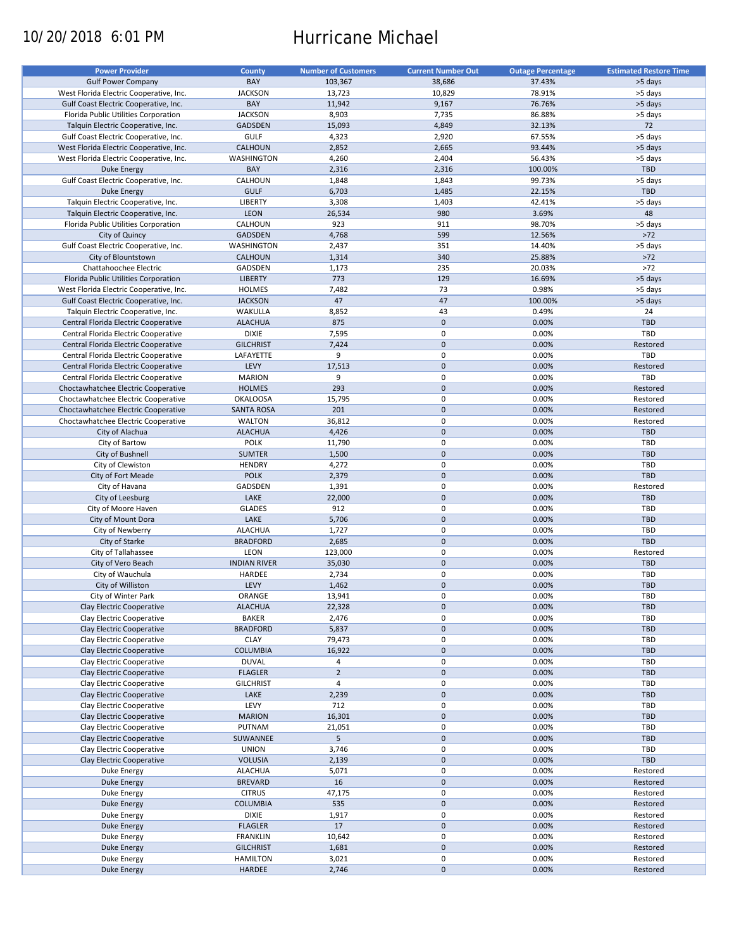# 10/20/2018 6:01 PM Hurricane Michael

| <b>Power Provider</b>                   | County              | <b>Number of Customers</b> | <b>Current Number Out</b> | <b>Outage Percentage</b> | <b>Estimated Restore Time</b> |
|-----------------------------------------|---------------------|----------------------------|---------------------------|--------------------------|-------------------------------|
|                                         | BAY                 |                            |                           |                          |                               |
| <b>Gulf Power Company</b>               |                     | 103,367                    | 38,686                    | 37.43%                   | >5 days                       |
| West Florida Electric Cooperative, Inc. | <b>JACKSON</b>      | 13,723                     | 10,829                    | 78.91%                   | >5 days                       |
| Gulf Coast Electric Cooperative, Inc.   | BAY                 | 11,942                     | 9,167                     | 76.76%                   | >5 days                       |
| Florida Public Utilities Corporation    | <b>JACKSON</b>      | 8,903                      | 7,735                     | 86.88%                   | >5 days                       |
| Talquin Electric Cooperative, Inc.      | <b>GADSDEN</b>      | 15,093                     | 4,849                     | 32.13%                   | 72                            |
| Gulf Coast Electric Cooperative, Inc.   | <b>GULF</b>         | 4,323                      | 2,920                     | 67.55%                   | >5 days                       |
| West Florida Electric Cooperative, Inc. | CALHOUN             | 2,852                      | 2,665                     | 93.44%                   | >5 days                       |
| West Florida Electric Cooperative, Inc. | <b>WASHINGTON</b>   | 4,260                      | 2,404                     | 56.43%                   | >5 days                       |
| Duke Energy                             | BAY                 | 2,316                      | 2,316                     | 100.00%                  | <b>TBD</b>                    |
| Gulf Coast Electric Cooperative, Inc.   | CALHOUN             | 1,848                      | 1,843                     | 99.73%                   | >5 days                       |
| <b>Duke Energy</b>                      | <b>GULF</b>         | 6,703                      | 1,485                     | 22.15%                   | <b>TBD</b>                    |
| Talquin Electric Cooperative, Inc.      | <b>LIBERTY</b>      | 3,308                      | 1,403                     | 42.41%                   | >5 days                       |
| Talquin Electric Cooperative, Inc.      | LEON                | 26,534                     | 980                       | 3.69%                    | 48                            |
|                                         |                     | 923                        | 911                       |                          |                               |
| Florida Public Utilities Corporation    | CALHOUN             |                            |                           | 98.70%                   | >5 days                       |
| City of Quincy                          | <b>GADSDEN</b>      | 4,768                      | 599                       | 12.56%                   | $>72$                         |
| Gulf Coast Electric Cooperative, Inc.   | WASHINGTON          | 2,437                      | 351                       | 14.40%                   | >5 days                       |
| City of Blountstown                     | CALHOUN             | 1,314                      | 340                       | 25.88%                   | $>72$                         |
| Chattahoochee Electric                  | GADSDEN             | 1,173                      | 235                       | 20.03%                   | $>72$                         |
| Florida Public Utilities Corporation    | <b>LIBERTY</b>      | 773                        | 129                       | 16.69%                   | >5 days                       |
| West Florida Electric Cooperative, Inc. | <b>HOLMES</b>       | 7,482                      | 73                        | 0.98%                    | >5 days                       |
| Gulf Coast Electric Cooperative, Inc.   | <b>JACKSON</b>      | 47                         | 47                        | 100.00%                  | >5 days                       |
| Talquin Electric Cooperative, Inc.      | WAKULLA             | 8,852                      | 43                        | 0.49%                    | 24                            |
| Central Florida Electric Cooperative    | <b>ALACHUA</b>      | 875                        | $\mathbf 0$               | 0.00%                    | <b>TBD</b>                    |
| Central Florida Electric Cooperative    | <b>DIXIE</b>        | 7,595                      | 0                         | 0.00%                    | <b>TBD</b>                    |
| Central Florida Electric Cooperative    | <b>GILCHRIST</b>    | 7,424                      | $\mathbf 0$               | 0.00%                    | Restored                      |
|                                         |                     |                            |                           |                          |                               |
| Central Florida Electric Cooperative    | LAFAYETTE           | 9                          | 0                         | 0.00%                    | TBD                           |
| Central Florida Electric Cooperative    | LEVY                | 17,513                     | $\mathbf 0$               | 0.00%                    | Restored                      |
| Central Florida Electric Cooperative    | <b>MARION</b>       | 9                          | $\pmb{0}$                 | 0.00%                    | TBD                           |
| Choctawhatchee Electric Cooperative     | <b>HOLMES</b>       | 293                        | $\mathbf 0$               | 0.00%                    | Restored                      |
| Choctawhatchee Electric Cooperative     | <b>OKALOOSA</b>     | 15,795                     | 0                         | 0.00%                    | Restored                      |
| Choctawhatchee Electric Cooperative     | <b>SANTA ROSA</b>   | 201                        | $\mathbf 0$               | 0.00%                    | Restored                      |
| Choctawhatchee Electric Cooperative     | <b>WALTON</b>       | 36,812                     | 0                         | 0.00%                    | Restored                      |
| City of Alachua                         | <b>ALACHUA</b>      | 4,426                      | $\mathbf 0$               | 0.00%                    | <b>TBD</b>                    |
| City of Bartow                          | POLK                | 11,790                     | 0                         | 0.00%                    | TBD                           |
| City of Bushnell                        | <b>SUMTER</b>       | 1,500                      | $\mathbf 0$               | 0.00%                    | <b>TBD</b>                    |
| City of Clewiston                       | <b>HENDRY</b>       | 4,272                      | 0                         | 0.00%                    | TBD                           |
| City of Fort Meade                      | <b>POLK</b>         | 2,379                      | $\mathbf 0$               | 0.00%                    | <b>TBD</b>                    |
|                                         |                     |                            |                           |                          |                               |
| City of Havana                          | GADSDEN             | 1,391                      | 0                         | 0.00%                    | Restored                      |
| City of Leesburg                        | LAKE                | 22,000                     | $\mathbf 0$               | 0.00%                    | <b>TBD</b>                    |
| City of Moore Haven                     | <b>GLADES</b>       | 912                        | 0                         | 0.00%                    | TBD                           |
| City of Mount Dora                      | LAKE                | 5,706                      | $\mathbf 0$               | 0.00%                    | <b>TBD</b>                    |
| City of Newberry                        | <b>ALACHUA</b>      | 1,727                      | 0                         | 0.00%                    | TBD                           |
| City of Starke                          | <b>BRADFORD</b>     | 2,685                      | $\mathbf 0$               | 0.00%                    | <b>TBD</b>                    |
| City of Tallahassee                     | LEON                | 123,000                    | 0                         | 0.00%                    | Restored                      |
| City of Vero Beach                      | <b>INDIAN RIVER</b> | 35,030                     | $\mathbf 0$               | 0.00%                    | <b>TBD</b>                    |
| City of Wauchula                        | HARDEE              | 2,734                      | 0                         | 0.00%                    | <b>TBD</b>                    |
| City of Williston                       | LEVY                | 1,462                      | $\mathbf 0$               | 0.00%                    | <b>TBD</b>                    |
| City of Winter Park                     | ORANGE              | 13,941                     | $\mathbf 0$               | 0.00%                    | TBD                           |
| Clay Electric Cooperative               | <b>ALACHUA</b>      | 22,328                     | $\pmb{0}$                 | 0.00%                    | <b>TBD</b>                    |
|                                         | <b>BAKER</b>        |                            | 0                         | 0.00%                    |                               |
| Clay Electric Cooperative               |                     | 2,476                      |                           |                          | TBD                           |
| Clay Electric Cooperative               | <b>BRADFORD</b>     | 5,837                      | $\pmb{0}$                 | 0.00%                    | TBD                           |
| Clay Electric Cooperative               | <b>CLAY</b>         | 79,473                     | 0                         | 0.00%                    | TBD                           |
| Clay Electric Cooperative               | <b>COLUMBIA</b>     | 16,922                     | $\mathsf{O}\xspace$       | 0.00%                    | <b>TBD</b>                    |
| Clay Electric Cooperative               | <b>DUVAL</b>        | 4                          | 0                         | 0.00%                    | TBD                           |
| Clay Electric Cooperative               | <b>FLAGLER</b>      | $\mathbf 2$                | $\mathsf{O}\xspace$       | 0.00%                    | TBD                           |
| Clay Electric Cooperative               | <b>GILCHRIST</b>    | $\overline{4}$             | 0                         | 0.00%                    | TBD                           |
| Clay Electric Cooperative               | LAKE                | 2,239                      | $\pmb{0}$                 | 0.00%                    | <b>TBD</b>                    |
| Clay Electric Cooperative               | LEVY                | 712                        | 0                         | 0.00%                    | TBD                           |
| Clay Electric Cooperative               | <b>MARION</b>       | 16,301                     | $\pmb{0}$                 | 0.00%                    | <b>TBD</b>                    |
| Clay Electric Cooperative               | PUTNAM              | 21,051                     | 0                         | 0.00%                    | TBD                           |
| Clay Electric Cooperative               | SUWANNEE            | 5                          | $\pmb{0}$                 | 0.00%                    | <b>TBD</b>                    |
| Clay Electric Cooperative               | <b>UNION</b>        | 3,746                      | $\pmb{0}$                 | 0.00%                    | <b>TBD</b>                    |
|                                         |                     |                            | $\pmb{0}$                 | 0.00%                    | TBD                           |
| Clay Electric Cooperative               | <b>VOLUSIA</b>      | 2,139                      |                           |                          |                               |
| Duke Energy                             | <b>ALACHUA</b>      | 5,071                      | $\pmb{0}$                 | 0.00%                    | Restored                      |
| <b>Duke Energy</b>                      | <b>BREVARD</b>      | 16                         | $\pmb{0}$                 | 0.00%                    | Restored                      |
| Duke Energy                             | <b>CITRUS</b>       | 47,175                     | 0                         | 0.00%                    | Restored                      |
| <b>Duke Energy</b>                      | <b>COLUMBIA</b>     | 535                        | $\pmb{0}$                 | 0.00%                    | Restored                      |
| Duke Energy                             | <b>DIXIE</b>        | 1,917                      | $\pmb{0}$                 | 0.00%                    | Restored                      |
| <b>Duke Energy</b>                      | <b>FLAGLER</b>      | 17                         | $\pmb{0}$                 | 0.00%                    | Restored                      |
| Duke Energy                             | <b>FRANKLIN</b>     | 10,642                     | 0                         | 0.00%                    | Restored                      |
| <b>Duke Energy</b>                      | <b>GILCHRIST</b>    | 1,681                      | $\pmb{0}$                 | 0.00%                    | Restored                      |
| Duke Energy                             | <b>HAMILTON</b>     | 3,021                      | 0                         | 0.00%                    | Restored                      |
| <b>Duke Energy</b>                      | HARDEE              | 2,746                      | $\pmb{0}$                 | 0.00%                    | Restored                      |
|                                         |                     |                            |                           |                          |                               |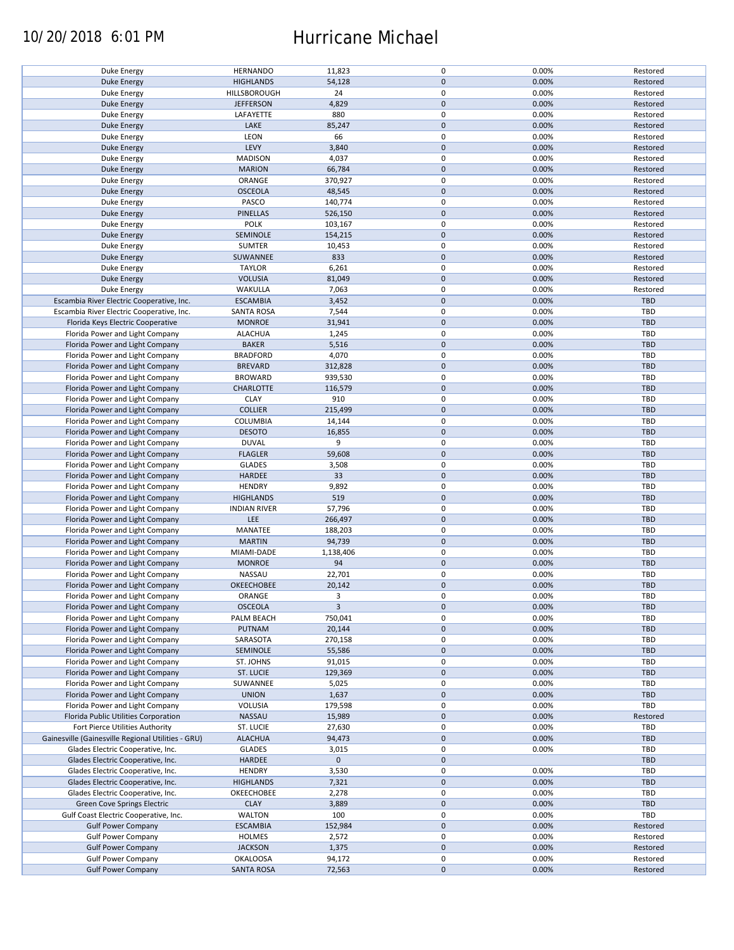### 10/20/2018 6:01 PM Hurricane Michael

| Duke Energy                                        | <b>HERNANDO</b>     | 11,823       | 0           | 0.00% | Restored   |
|----------------------------------------------------|---------------------|--------------|-------------|-------|------------|
| <b>Duke Energy</b>                                 | <b>HIGHLANDS</b>    | 54,128       | $\pmb{0}$   | 0.00% | Restored   |
|                                                    |                     |              |             |       |            |
| Duke Energy                                        | HILLSBOROUGH        | 24           | 0           | 0.00% | Restored   |
| <b>Duke Energy</b>                                 | <b>JEFFERSON</b>    | 4,829        | $\mathbf 0$ | 0.00% | Restored   |
| Duke Energy                                        | LAFAYETTE           | 880          | 0           | 0.00% | Restored   |
|                                                    |                     |              |             |       |            |
| <b>Duke Energy</b>                                 | LAKE                | 85,247       | $\pmb{0}$   | 0.00% | Restored   |
| Duke Energy                                        | LEON                | 66           | 0           | 0.00% | Restored   |
| <b>Duke Energy</b>                                 | LEVY                | 3,840        | $\mathbf 0$ | 0.00% | Restored   |
|                                                    |                     |              |             |       |            |
| Duke Energy                                        | <b>MADISON</b>      | 4,037        | 0           | 0.00% | Restored   |
| <b>Duke Energy</b>                                 | <b>MARION</b>       | 66,784       | $\pmb{0}$   | 0.00% | Restored   |
|                                                    |                     |              |             |       |            |
| Duke Energy                                        | ORANGE              | 370,927      | 0           | 0.00% | Restored   |
| <b>Duke Energy</b>                                 | <b>OSCEOLA</b>      | 48,545       | $\mathbf 0$ | 0.00% | Restored   |
| Duke Energy                                        | PASCO               | 140,774      | $\mathbf 0$ | 0.00% | Restored   |
|                                                    |                     |              |             |       |            |
| <b>Duke Energy</b>                                 | <b>PINELLAS</b>     | 526,150      | $\mathbf 0$ | 0.00% | Restored   |
| Duke Energy                                        | POLK                | 103,167      | $\pmb{0}$   | 0.00% | Restored   |
| <b>Duke Energy</b>                                 | SEMINOLE            | 154,215      | $\pmb{0}$   | 0.00% | Restored   |
|                                                    |                     |              |             |       |            |
| Duke Energy                                        | <b>SUMTER</b>       | 10,453       | 0           | 0.00% | Restored   |
| <b>Duke Energy</b>                                 | SUWANNEE            | 833          | $\mathbf 0$ | 0.00% | Restored   |
|                                                    |                     |              | 0           |       |            |
| Duke Energy                                        | <b>TAYLOR</b>       | 6,261        |             | 0.00% | Restored   |
| <b>Duke Energy</b>                                 | <b>VOLUSIA</b>      | 81,049       | $\mathbf 0$ | 0.00% | Restored   |
| Duke Energy                                        | WAKULLA             | 7,063        | 0           | 0.00% | Restored   |
|                                                    |                     |              |             |       |            |
| Escambia River Electric Cooperative, Inc.          | <b>ESCAMBIA</b>     | 3,452        | $\pmb{0}$   | 0.00% | TBD        |
| Escambia River Electric Cooperative, Inc.          | <b>SANTA ROSA</b>   | 7,544        | 0           | 0.00% | <b>TBD</b> |
|                                                    |                     |              | $\pmb{0}$   |       | TBD        |
| Florida Keys Electric Cooperative                  | <b>MONROE</b>       | 31,941       |             | 0.00% |            |
| Florida Power and Light Company                    | <b>ALACHUA</b>      | 1,245        | 0           | 0.00% | TBD        |
| Florida Power and Light Company                    | <b>BAKER</b>        | 5,516        | $\pmb{0}$   | 0.00% | <b>TBD</b> |
|                                                    |                     |              |             |       |            |
| Florida Power and Light Company                    | <b>BRADFORD</b>     | 4,070        | 0           | 0.00% | TBD        |
| Florida Power and Light Company                    | <b>BREVARD</b>      | 312,828      | $\pmb{0}$   | 0.00% | <b>TBD</b> |
| Florida Power and Light Company                    | <b>BROWARD</b>      | 939,530      | $\pmb{0}$   | 0.00% | <b>TBD</b> |
|                                                    |                     |              |             |       |            |
| Florida Power and Light Company                    | <b>CHARLOTTE</b>    | 116,579      | $\mathbf 0$ | 0.00% | <b>TBD</b> |
| Florida Power and Light Company                    | <b>CLAY</b>         | 910          | 0           | 0.00% | TBD        |
|                                                    |                     |              |             |       |            |
| Florida Power and Light Company                    | <b>COLLIER</b>      | 215,499      | 0           | 0.00% | <b>TBD</b> |
| Florida Power and Light Company                    | COLUMBIA            | 14,144       | 0           | 0.00% | TBD        |
| Florida Power and Light Company                    | <b>DESOTO</b>       | 16,855       | $\pmb{0}$   | 0.00% | <b>TBD</b> |
|                                                    |                     |              |             |       |            |
| Florida Power and Light Company                    | <b>DUVAL</b>        | 9            | 0           | 0.00% | TBD        |
| Florida Power and Light Company                    | <b>FLAGLER</b>      | 59,608       | $\pmb{0}$   | 0.00% | <b>TBD</b> |
| Florida Power and Light Company                    | <b>GLADES</b>       | 3,508        | 0           | 0.00% | TBD        |
|                                                    |                     |              |             |       |            |
| Florida Power and Light Company                    | HARDEE              | 33           | $\mathbf 0$ | 0.00% | <b>TBD</b> |
| Florida Power and Light Company                    | <b>HENDRY</b>       | 9,892        | $\pmb{0}$   | 0.00% | TBD        |
|                                                    |                     |              |             |       |            |
| Florida Power and Light Company                    | <b>HIGHLANDS</b>    | 519          | $\pmb{0}$   | 0.00% | <b>TBD</b> |
| Florida Power and Light Company                    | <b>INDIAN RIVER</b> | 57,796       | 0           | 0.00% | TBD        |
| Florida Power and Light Company                    | LEE                 | 266,497      | $\pmb{0}$   | 0.00% | <b>TBD</b> |
|                                                    |                     |              |             |       |            |
| Florida Power and Light Company                    | MANATEE             | 188,203      | 0           | 0.00% | <b>TBD</b> |
| Florida Power and Light Company                    | <b>MARTIN</b>       | 94,739       | $\pmb{0}$   | 0.00% | <b>TBD</b> |
|                                                    |                     |              |             |       |            |
| Florida Power and Light Company                    | MIAMI-DADE          | 1,138,406    | 0           | 0.00% | <b>TBD</b> |
| Florida Power and Light Company                    | <b>MONROE</b>       | 94           | $\pmb{0}$   | 0.00% | <b>TBD</b> |
| Florida Power and Light Company                    | NASSAU              | 22,701       | 0           | 0.00% | <b>TBD</b> |
|                                                    |                     |              |             |       |            |
| Florida Power and Light Company                    | OKEECHOBEE          | 20,142       | $\mathbf 0$ | 0.00% | <b>TBD</b> |
| Florida Power and Light Company                    | ORANGE              | 3            | $\mathbf 0$ | 0.00% | TBD        |
| Florida Power and Light Company                    | <b>OSCEOLA</b>      | $\mathbf{3}$ | $\pmb{0}$   | 0.00% | <b>TBD</b> |
|                                                    |                     |              |             |       |            |
| Florida Power and Light Company                    | PALM BEACH          | 750,041      | 0           | 0.00% | TBD        |
| Florida Power and Light Company                    | PUTNAM              | 20,144       | 0           | 0.00% | TBD        |
|                                                    |                     |              |             |       |            |
| Florida Power and Light Company                    | SARASOTA            | 270,158      | 0           | 0.00% | TBD        |
| Florida Power and Light Company                    | SEMINOLE            | 55,586       | 0           | 0.00% | <b>TBD</b> |
| Florida Power and Light Company                    | ST. JOHNS           | 91,015       | 0           | 0.00% | TBD        |
|                                                    |                     |              |             |       |            |
| Florida Power and Light Company                    | ST. LUCIE           | 129,369      | 0           | 0.00% | <b>TBD</b> |
| Florida Power and Light Company                    | SUWANNEE            | 5,025        | 0           | 0.00% | TBD        |
|                                                    |                     |              |             |       |            |
| Florida Power and Light Company                    | <b>UNION</b>        | 1,637        | $\pmb{0}$   | 0.00% | <b>TBD</b> |
| Florida Power and Light Company                    | VOLUSIA             | 179,598      | 0           | 0.00% | TBD        |
| Florida Public Utilities Corporation               | NASSAU              | 15,989       | $\pmb{0}$   | 0.00% | Restored   |
|                                                    |                     |              |             |       |            |
| Fort Pierce Utilities Authority                    | ST. LUCIE           | 27,630       | 0           | 0.00% | TBD        |
| Gainesville (Gainesville Regional Utilities - GRU) | <b>ALACHUA</b>      | 94,473       | $\pmb{0}$   | 0.00% | <b>TBD</b> |
|                                                    |                     |              | $\pmb{0}$   |       | TBD        |
| Glades Electric Cooperative, Inc.                  | <b>GLADES</b>       | 3,015        |             | 0.00% |            |
| Glades Electric Cooperative, Inc.                  | HARDEE              | $\mathbf 0$  | $\pmb{0}$   |       | <b>TBD</b> |
| Glades Electric Cooperative, Inc.                  | <b>HENDRY</b>       | 3,530        | 0           | 0.00% | TBD        |
|                                                    |                     |              |             |       |            |
| Glades Electric Cooperative, Inc.                  | <b>HIGHLANDS</b>    | 7,321        | $\pmb{0}$   | 0.00% | <b>TBD</b> |
| Glades Electric Cooperative, Inc.                  | OKEECHOBEE          | 2,278        | 0           | 0.00% | TBD        |
|                                                    | <b>CLAY</b>         |              | $\pmb{0}$   | 0.00% | TBD        |
| Green Cove Springs Electric                        |                     | 3,889        |             |       |            |
| Gulf Coast Electric Cooperative, Inc.              | WALTON              | 100          | 0           | 0.00% | TBD        |
| <b>Gulf Power Company</b>                          | <b>ESCAMBIA</b>     | 152,984      | $\pmb{0}$   | 0.00% | Restored   |
|                                                    |                     |              |             |       |            |
| <b>Gulf Power Company</b>                          | <b>HOLMES</b>       | 2,572        | 0           | 0.00% | Restored   |
| <b>Gulf Power Company</b>                          | <b>JACKSON</b>      | 1,375        | $\pmb{0}$   | 0.00% | Restored   |
|                                                    |                     |              |             |       |            |
| <b>Gulf Power Company</b>                          | <b>OKALOOSA</b>     | 94,172       | 0           | 0.00% | Restored   |
| <b>Gulf Power Company</b>                          | <b>SANTA ROSA</b>   | 72,563       | $\pmb{0}$   | 0.00% | Restored   |
|                                                    |                     |              |             |       |            |